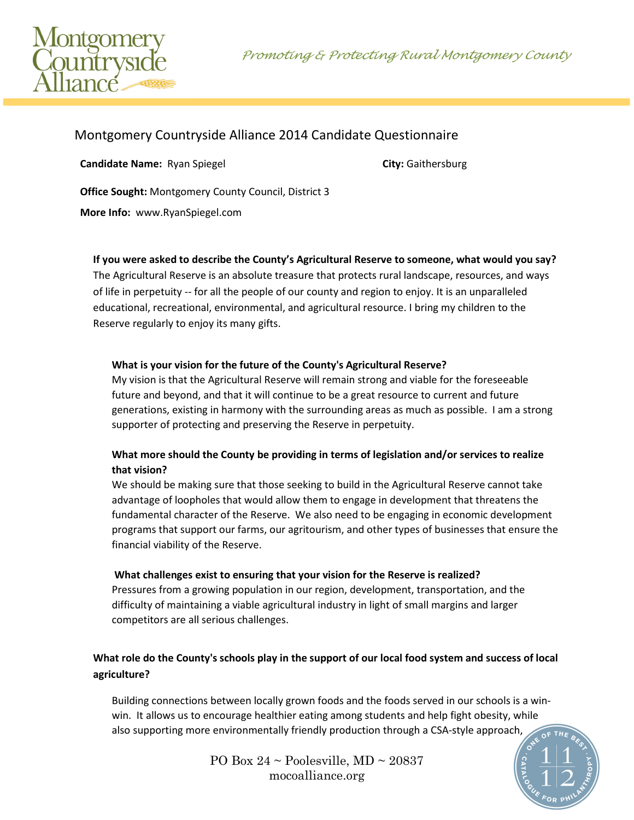



# Montgomery Countryside Alliance 2014 Candidate Questionnaire

**Candidate Name:** Ryan Spiegel **City:** Gaithersburg

**Office Sought:** Montgomery County Council, District 3

**More Info:** www.RyanSpiegel.com

#### **If you were asked to describe the County's Agricultural Reserve to someone, what would you say?**

The Agricultural Reserve is an absolute treasure that protects rural landscape, resources, and ways of life in perpetuity -- for all the people of our county and region to enjoy. It is an unparalleled educational, recreational, environmental, and agricultural resource. I bring my children to the Reserve regularly to enjoy its many gifts.

#### **What is your vision for the future of the County's Agricultural Reserve?**

My vision is that the Agricultural Reserve will remain strong and viable for the foreseeable future and beyond, and that it will continue to be a great resource to current and future generations, existing in harmony with the surrounding areas as much as possible. I am a strong supporter of protecting and preserving the Reserve in perpetuity.

### **What more should the County be providing in terms of legislation and/or services to realize that vision?**

We should be making sure that those seeking to build in the Agricultural Reserve cannot take advantage of loopholes that would allow them to engage in development that threatens the fundamental character of the Reserve. We also need to be engaging in economic development programs that support our farms, our agritourism, and other types of businesses that ensure the financial viability of the Reserve.

#### **What challenges exist to ensuring that your vision for the Reserve is realized?**

Pressures from a growing population in our region, development, transportation, and the difficulty of maintaining a viable agricultural industry in light of small margins and larger competitors are all serious challenges.

### **What role do the County's schools play in the support of our local food system and success of local agriculture?**

Building connections between locally grown foods and the foods served in our schools is a winwin. It allows us to encourage healthier eating among students and help fight obesity, while also supporting more environmentally friendly production through a CSA-style approach,

> PO Box  $24 \sim$  Poolesville, MD  $\sim$  20837 mocoalliance.org